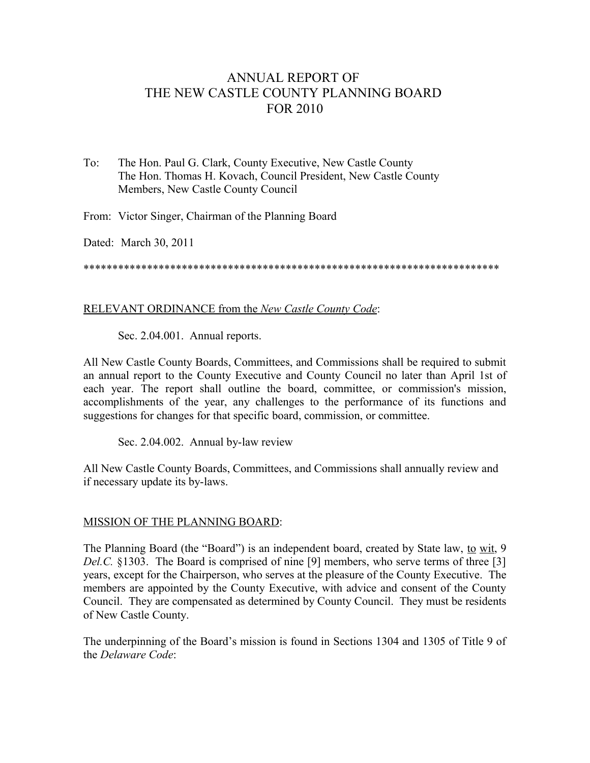## ANNUAL REPORT OF THE NEW CASTLE COUNTY PLANNING BOARD FOR 2010

To: The Hon. Paul G. Clark, County Executive, New Castle County The Hon. Thomas H. Kovach, Council President, New Castle County Members, New Castle County Council

From: Victor Singer, Chairman of the Planning Board

Dated: March 30, 2011

\*\*\*\*\*\*\*\*\*\*\*\*\*\*\*\*\*\*\*\*\*\*\*\*\*\*\*\*\*\*\*\*\*\*\*\*\*\*\*\*\*\*\*\*\*\*\*\*\*\*\*\*\*\*\*\*\*\*\*\*\*\*\*\*\*\*\*\*\*\*\*\*

## RELEVANT ORDINANCE from the *New Castle County Code*:

Sec. 2.04.001. Annual reports.

All New Castle County Boards, Committees, and Commissions shall be required to submit an annual report to the County Executive and County Council no later than April 1st of each year. The report shall outline the board, committee, or commission's mission, accomplishments of the year, any challenges to the performance of its functions and suggestions for changes for that specific board, commission, or committee.

Sec. 2.04.002. Annual by-law review

All New Castle County Boards, Committees, and Commissions shall annually review and if necessary update its by-laws.

## MISSION OF THE PLANNING BOARD:

The Planning Board (the "Board") is an independent board, created by State law, to wit, 9 *Del.C.* §1303. The Board is comprised of nine [9] members, who serve terms of three [3] years, except for the Chairperson, who serves at the pleasure of the County Executive. The members are appointed by the County Executive, with advice and consent of the County Council. They are compensated as determined by County Council. They must be residents of New Castle County.

The underpinning of the Board's mission is found in Sections 1304 and 1305 of Title 9 of the *Delaware Code*: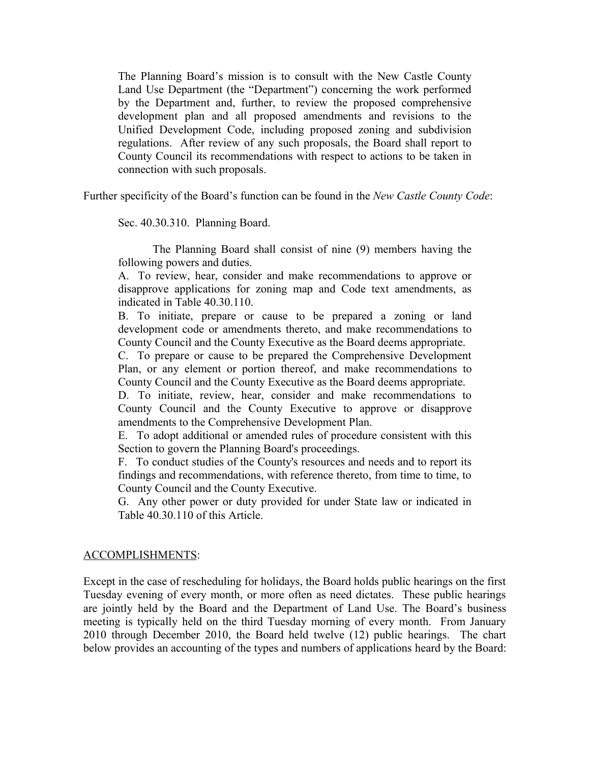The Planning Board's mission is to consult with the New Castle County Land Use Department (the "Department") concerning the work performed by the Department and, further, to review the proposed comprehensive development plan and all proposed amendments and revisions to the Unified Development Code, including proposed zoning and subdivision regulations. After review of any such proposals, the Board shall report to County Council its recommendations with respect to actions to be taken in connection with such proposals.

Further specificity of the Board's function can be found in the *New Castle County Code*:

Sec. 40.30.310. Planning Board.

The Planning Board shall consist of nine (9) members having the following powers and duties.

A. To review, hear, consider and make recommendations to approve or disapprove applications for zoning map and Code text amendments, as indicated in Table 40.30.110.

B. To initiate, prepare or cause to be prepared a zoning or land development code or amendments thereto, and make recommendations to County Council and the County Executive as the Board deems appropriate.

C. To prepare or cause to be prepared the Comprehensive Development Plan, or any element or portion thereof, and make recommendations to County Council and the County Executive as the Board deems appropriate.

D. To initiate, review, hear, consider and make recommendations to County Council and the County Executive to approve or disapprove amendments to the Comprehensive Development Plan.

E. To adopt additional or amended rules of procedure consistent with this Section to govern the Planning Board's proceedings.

F. To conduct studies of the County's resources and needs and to report its findings and recommendations, with reference thereto, from time to time, to County Council and the County Executive.

G. Any other power or duty provided for under State law or indicated in Table 40.30.110 of this Article.

## ACCOMPLISHMENTS:

Except in the case of rescheduling for holidays, the Board holds public hearings on the first Tuesday evening of every month, or more often as need dictates. These public hearings are jointly held by the Board and the Department of Land Use. The Board's business meeting is typically held on the third Tuesday morning of every month. From January 2010 through December 2010, the Board held twelve (12) public hearings. The chart below provides an accounting of the types and numbers of applications heard by the Board: